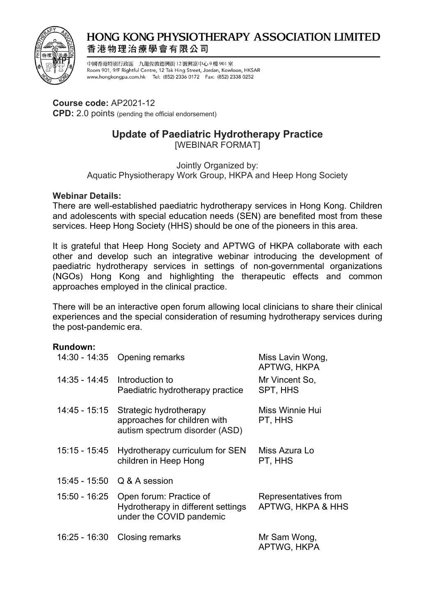

# **HONG KONG PHYSIOTHERAPY ASSOCIATION LIMITED** 香港物理治療學會有限公司

中國香港特別行政區 九龍佐敦德興街 12 號興富中心9樓 901 室 Room 901, 9/F Rightful Centre, 12 Tak Hing Street, Jordan, Kowloon, HKSAR www.hongkongpa.com.hk Tel: (852) 2336 0172 Fax: (852) 2338 0252

## **Course code:** AP2021-12

**CPD:** 2.0 points (pending the official endorsement)

# **Update of Paediatric Hydrotherapy Practice**

[WEBINAR FORMAT]

Jointly Organized by:

Aquatic Physiotherapy Work Group, HKPA and Heep Hong Society

## **Webinar Details:**

There are well-established paediatric hydrotherapy services in Hong Kong. Children and adolescents with special education needs (SEN) are benefited most from these services. Heep Hong Society (HHS) should be one of the pioneers in this area.

It is grateful that Heep Hong Society and APTWG of HKPA collaborate with each other and develop such an integrative webinar introducing the development of paediatric hydrotherapy services in settings of non-governmental organizations (NGOs) Hong Kong and highlighting the therapeutic effects and common approaches employed in the clinical practice.

There will be an interactive open forum allowing local clinicians to share their clinical experiences and the special consideration of resuming hydrotherapy services during the post-pandemic era.

#### **Rundown:**

|               | 14:30 - 14:35 Opening remarks                                                                           | Miss Lavin Wong,<br>APTWG, HKPA           |
|---------------|---------------------------------------------------------------------------------------------------------|-------------------------------------------|
| 14:35 - 14:45 | Introduction to<br>Paediatric hydrotherapy practice                                                     | Mr Vincent So,<br>SPT, HHS                |
| 14:45 - 15:15 | Strategic hydrotherapy<br>approaches for children with<br>autism spectrum disorder (ASD)                | Miss Winnie Hui<br>PT, HHS                |
| 15:15 - 15:45 | Hydrotherapy curriculum for SEN<br>children in Heep Hong                                                | Miss Azura Lo<br>PT, HHS                  |
|               | 15:45 - 15:50 Q & A session                                                                             |                                           |
|               | 15:50 - 16:25 Open forum: Practice of<br>Hydrotherapy in different settings<br>under the COVID pandemic | Representatives from<br>APTWG, HKPA & HHS |
|               | 16:25 - 16:30 Closing remarks                                                                           | Mr Sam Wong,<br>APTWG, HKPA               |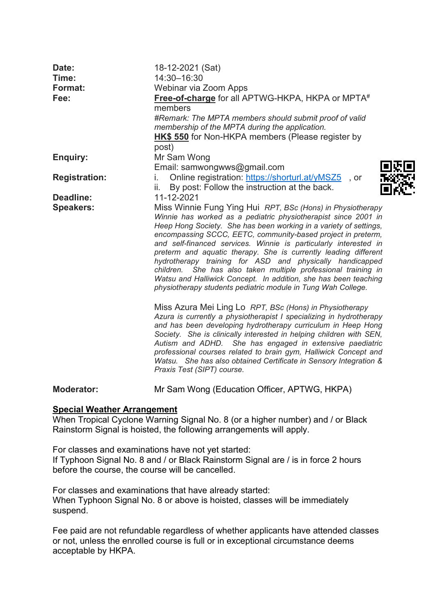| Date:<br>Time:<br>Format: | 18-12-2021 (Sat)<br>14:30-16:30<br>Webinar via Zoom Apps                                                                                                                                                                                                                                                                                                                                                                                                                                                                                                                                                                                                                                                                             |
|---------------------------|--------------------------------------------------------------------------------------------------------------------------------------------------------------------------------------------------------------------------------------------------------------------------------------------------------------------------------------------------------------------------------------------------------------------------------------------------------------------------------------------------------------------------------------------------------------------------------------------------------------------------------------------------------------------------------------------------------------------------------------|
| Fee:                      | Free-of-charge for all APTWG-HKPA, HKPA or MPTA#<br>members<br>#Remark: The MPTA members should submit proof of valid<br>membership of the MPTA during the application.<br>HK\$ 550 for Non-HKPA members (Please register by<br>post)                                                                                                                                                                                                                                                                                                                                                                                                                                                                                                |
| <b>Enquiry:</b>           | Mr Sam Wong<br>Email: samwongwws@gmail.com                                                                                                                                                                                                                                                                                                                                                                                                                                                                                                                                                                                                                                                                                           |
| <b>Registration:</b>      | Online registration: https://shorturl.at/yMSZ5<br>İ.<br>, or<br>By post: Follow the instruction at the back.<br>ii.                                                                                                                                                                                                                                                                                                                                                                                                                                                                                                                                                                                                                  |
| Deadline:                 | 11-12-2021                                                                                                                                                                                                                                                                                                                                                                                                                                                                                                                                                                                                                                                                                                                           |
| <b>Speakers:</b>          | Miss Winnie Fung Ying Hui RPT, BSc (Hons) in Physiotherapy<br>Winnie has worked as a pediatric physiotherapist since 2001 in<br>Heep Hong Society. She has been working in a variety of settings,<br>encompassing SCCC, EETC, community-based project in preterm,<br>and self-financed services. Winnie is particularly interested in<br>preterm and aquatic therapy. She is currently leading different<br>hydrotherapy training for ASD and physically handicapped<br>children. She has also taken multiple professional training in<br>Watsu and Halliwick Concept. In addition, she has been teaching<br>physiotherapy students pediatric module in Tung Wah College.<br>Miss Azura Mei Ling Lo RPT, BSc (Hons) in Physiotherapy |
|                           | Azura is currently a physiotherapist I specializing in hydrotherapy<br>and has been developing hydrotherapy curriculum in Heep Hong<br>Society. She is clinically interested in helping children with SEN,<br>Autism and ADHD. She has engaged in extensive paediatric<br>professional courses related to brain gym, Halliwick Concept and<br>Watsu. She has also obtained Certificate in Sensory Integration &<br>Praxis Test (SIPT) course.                                                                                                                                                                                                                                                                                        |
| <b>Moderator:</b>         | Mr Sam Wong (Education Officer, APTWG, HKPA)                                                                                                                                                                                                                                                                                                                                                                                                                                                                                                                                                                                                                                                                                         |

## **Special Weather Arrangement**

When Tropical Cyclone Warning Signal No. 8 (or a higher number) and / or Black Rainstorm Signal is hoisted, the following arrangements will apply.

For classes and examinations have not yet started: If Typhoon Signal No. 8 and / or Black Rainstorm Signal are / is in force 2 hours before the course, the course will be cancelled.

For classes and examinations that have already started: When Typhoon Signal No. 8 or above is hoisted, classes will be immediately suspend.

Fee paid are not refundable regardless of whether applicants have attended classes or not, unless the enrolled course is full or in exceptional circumstance deems acceptable by HKPA.